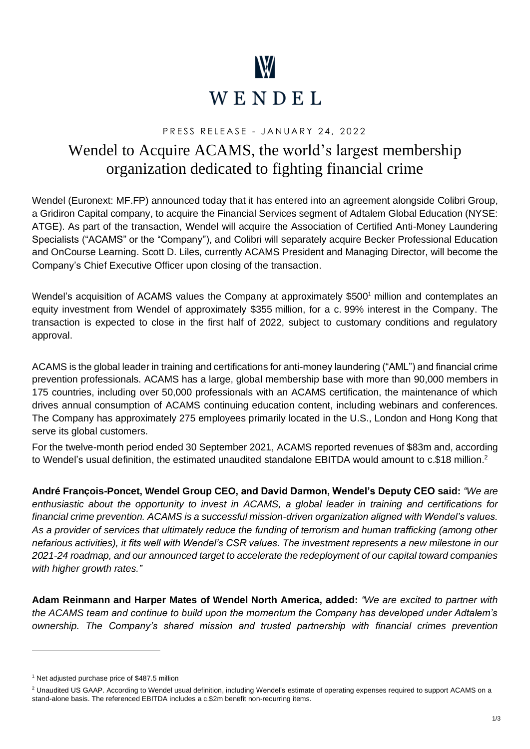

# PRESS RELEASE - JANUARY 24, 2022

# Wendel to Acquire ACAMS, the world's largest membership organization dedicated to fighting financial crime

Wendel (Euronext: MF.FP) announced today that it has entered into an agreement alongside Colibri Group, a Gridiron Capital company, to acquire the Financial Services segment of Adtalem Global Education (NYSE: ATGE). As part of the transaction, Wendel will acquire the Association of Certified Anti-Money Laundering Specialists ("ACAMS" or the "Company"), and Colibri will separately acquire Becker Professional Education and OnCourse Learning. Scott D. Liles, currently ACAMS President and Managing Director, will become the Company's Chief Executive Officer upon closing of the transaction.

Wendel's acquisition of ACAMS values the Company at approximately \$500<sup>1</sup> million and contemplates an equity investment from Wendel of approximately \$355 million, for a c. 99% interest in the Company. The transaction is expected to close in the first half of 2022, subject to customary conditions and regulatory approval.

ACAMS is the global leader in training and certifications for anti-money laundering ("AML") and financial crime prevention professionals. ACAMS has a large, global membership base with more than 90,000 members in 175 countries, including over 50,000 professionals with an ACAMS certification, the maintenance of which drives annual consumption of ACAMS continuing education content, including webinars and conferences. The Company has approximately 275 employees primarily located in the U.S., London and Hong Kong that serve its global customers.

For the twelve-month period ended 30 September 2021, ACAMS reported revenues of \$83m and, according to Wendel's usual definition, the estimated unaudited standalone EBITDA would amount to c.\$18 million.<sup>2</sup>

**André François-Poncet, Wendel Group CEO, and David Darmon, Wendel's Deputy CEO said:** *"We are enthusiastic about the opportunity to invest in ACAMS, a global leader in training and certifications for financial crime prevention. ACAMS is a successful mission-driven organization aligned with Wendel's values. As a provider of services that ultimately reduce the funding of terrorism and human trafficking (among other nefarious activities), it fits well with Wendel's CSR values. The investment represents a new milestone in our 2021-24 roadmap, and our announced target to accelerate the redeployment of our capital toward companies with higher growth rates."*

**Adam Reinmann and Harper Mates of Wendel North America, added:** *"We are excited to partner with the ACAMS team and continue to build upon the momentum the Company has developed under Adtalem's ownership. The Company's shared mission and trusted partnership with financial crimes prevention* 

 $1$  Net adjusted purchase price of \$487.5 million

<sup>&</sup>lt;sup>2</sup> Unaudited US GAAP. According to Wendel usual definition, including Wendel's estimate of operating expenses required to support ACAMS on a stand-alone basis. The referenced EBITDA includes a c.\$2m benefit non-recurring items.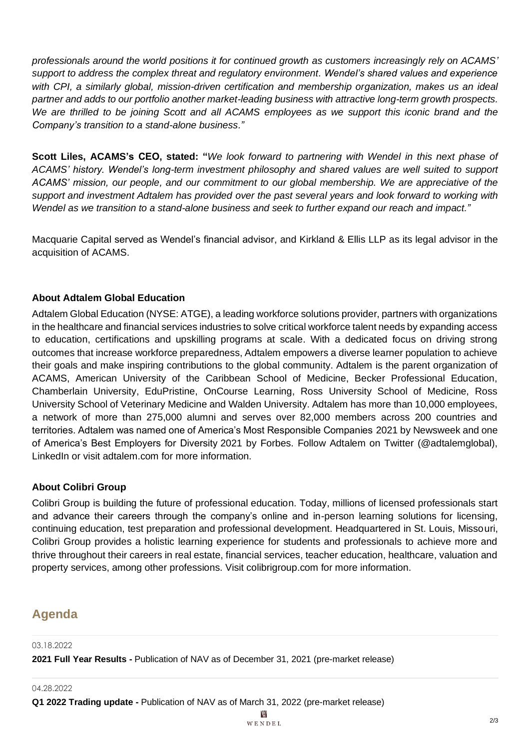*professionals around the world positions it for continued growth as customers increasingly rely on ACAMS' support to address the complex threat and regulatory environment. Wendel's shared values and experience with CPI, a similarly global, mission-driven certification and membership organization, makes us an ideal partner and adds to our portfolio another market-leading business with attractive long-term growth prospects. We are thrilled to be joining Scott and all ACAMS employees as we support this iconic brand and the Company's transition to a stand-alone business."*

**Scott Liles, ACAMS's CEO, stated: "***We look forward to partnering with Wendel in this next phase of ACAMS' history. Wendel's long-term investment philosophy and shared values are well suited to support ACAMS' mission, our people, and our commitment to our global membership. We are appreciative of the support and investment Adtalem has provided over the past several years and look forward to working with Wendel as we transition to a stand-alone business and seek to further expand our reach and impact."*

Macquarie Capital served as Wendel's financial advisor, and Kirkland & Ellis LLP as its legal advisor in the acquisition of ACAMS.

# **About Adtalem Global Education**

Adtalem Global Education (NYSE: ATGE), a leading workforce solutions provider, partners with organizations in the healthcare and financial services industries to solve critical workforce talent needs by expanding access to education, certifications and upskilling programs at scale. With a dedicated focus on driving strong outcomes that increase workforce preparedness, Adtalem empowers a diverse learner population to achieve their goals and make inspiring contributions to the global community. Adtalem is the parent organization of ACAMS, American University of the Caribbean School of Medicine, Becker Professional Education, Chamberlain University, EduPristine, OnCourse Learning, Ross University School of Medicine, Ross University School of Veterinary Medicine and Walden University. Adtalem has more than 10,000 employees, a network of more than 275,000 alumni and serves over 82,000 members across 200 countries and territories. Adtalem was named one of America's Most Responsible Companies 2021 by Newsweek and one of America's Best Employers for Diversity 2021 by Forbes. Follow Adtalem on Twitter (@adtalemglobal), LinkedIn or visit adtalem.com for more information.

### **About Colibri Group**

Colibri Group is building the future of professional education. Today, millions of licensed professionals start and advance their careers through the company's online and in-person learning solutions for licensing, continuing education, test preparation and professional development. Headquartered in St. Louis, Missouri, Colibri Group provides a holistic learning experience for students and professionals to achieve more and thrive throughout their careers in real estate, financial services, teacher education, healthcare, valuation and property services, among other professions. Visit colibrigroup.com for more information.

# **Agenda**

03.18.2022

**2021 Full Year Results -** Publication of NAV as of December 31, 2021 (pre-market release)

04.28.2022

**Q1 2022 Trading update -** Publication of NAV as of March 31, 2022 (pre-market release)